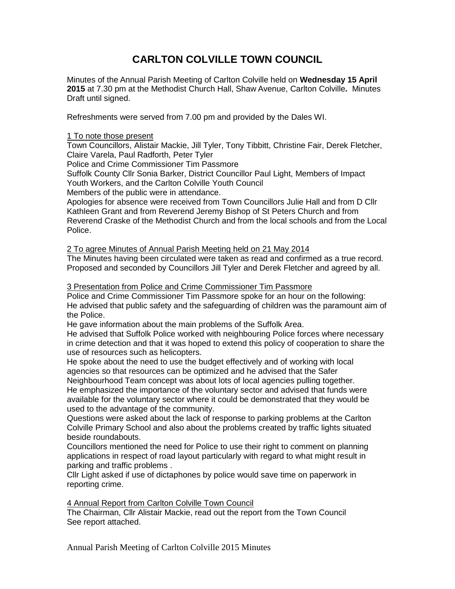## **CARLTON COLVILLE TOWN COUNCIL**

Minutes of the Annual Parish Meeting of Carlton Colville held on **Wednesday 15 April 2015** at 7.30 pm at the Methodist Church Hall, Shaw Avenue, Carlton Colville**.** Minutes Draft until signed.

Refreshments were served from 7.00 pm and provided by the Dales WI.

#### 1 To note those present

Town Councillors, Alistair Mackie, Jill Tyler, Tony Tibbitt, Christine Fair, Derek Fletcher, Claire Varela, Paul Radforth, Peter Tyler

Police and Crime Commissioner Tim Passmore

Suffolk County Cllr Sonia Barker, District Councillor Paul Light, Members of Impact Youth Workers, and the Carlton Colville Youth Council

Members of the public were in attendance.

Apologies for absence were received from Town Councillors Julie Hall and from D Cllr Kathleen Grant and from Reverend Jeremy Bishop of St Peters Church and from Reverend Craske of the Methodist Church and from the local schools and from the Local Police.

#### 2 To agree Minutes of Annual Parish Meeting held on 21 May 2014

The Minutes having been circulated were taken as read and confirmed as a true record. Proposed and seconded by Councillors Jill Tyler and Derek Fletcher and agreed by all.

#### 3 Presentation from Police and Crime Commissioner Tim Passmore

Police and Crime Commissioner Tim Passmore spoke for an hour on the following: He advised that public safety and the safeguarding of children was the paramount aim of the Police.

He gave information about the main problems of the Suffolk Area.

He advised that Suffolk Police worked with neighbouring Police forces where necessary in crime detection and that it was hoped to extend this policy of cooperation to share the use of resources such as helicopters.

He spoke about the need to use the budget effectively and of working with local agencies so that resources can be optimized and he advised that the Safer

Neighbourhood Team concept was about lots of local agencies pulling together.

He emphasized the importance of the voluntary sector and advised that funds were available for the voluntary sector where it could be demonstrated that they would be used to the advantage of the community.

Questions were asked about the lack of response to parking problems at the Carlton Colville Primary School and also about the problems created by traffic lights situated beside roundabouts.

Councillors mentioned the need for Police to use their right to comment on planning applications in respect of road layout particularly with regard to what might result in parking and traffic problems .

Cllr Light asked if use of dictaphones by police would save time on paperwork in reporting crime.

4 Annual Report from Carlton Colville Town Council

The Chairman, Cllr Alistair Mackie, read out the report from the Town Council See report attached.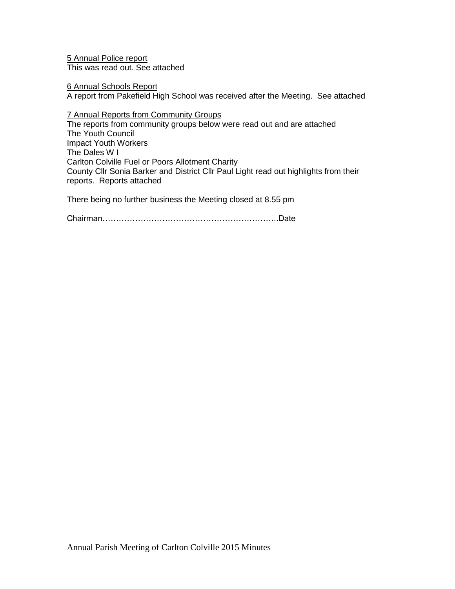5 Annual Police report This was read out. See attached

6 Annual Schools Report

A report from Pakefield High School was received after the Meeting. See attached

7 Annual Reports from Community Groups

The reports from community groups below were read out and are attached The Youth Council Impact Youth Workers The Dales W I Carlton Colville Fuel or Poors Allotment Charity County Cllr Sonia Barker and District Cllr Paul Light read out highlights from their reports. Reports attached

There being no further business the Meeting closed at 8.55 pm

Chairman………………………………………………………..Date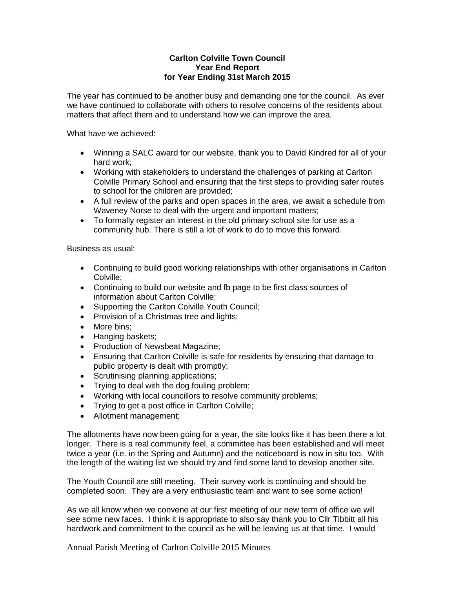#### **Carlton Colville Town Council Year End Report for Year Ending 31st March 2015**

The year has continued to be another busy and demanding one for the council. As ever we have continued to collaborate with others to resolve concerns of the residents about matters that affect them and to understand how we can improve the area.

What have we achieved:

- Winning a SALC award for our website, thank you to David Kindred for all of your hard work;
- Working with stakeholders to understand the challenges of parking at Carlton Colville Primary School and ensuring that the first steps to providing safer routes to school for the children are provided;
- A full review of the parks and open spaces in the area, we await a schedule from Waveney Norse to deal with the urgent and important matters;
- To formally register an interest in the old primary school site for use as a community hub. There is still a lot of work to do to move this forward.

Business as usual:

- Continuing to build good working relationships with other organisations in Carlton Colville;
- Continuing to build our website and fb page to be first class sources of information about Carlton Colville;
- Supporting the Carlton Colville Youth Council;
- Provision of a Christmas tree and lights;
- More bins:
- Hanging baskets;
- Production of Newsbeat Magazine;
- Ensuring that Carlton Colville is safe for residents by ensuring that damage to public property is dealt with promptly;
- Scrutinising planning applications;
- Trying to deal with the dog fouling problem;
- Working with local councillors to resolve community problems;
- Trying to get a post office in Carlton Colville;
- Allotment management;

The allotments have now been going for a year, the site looks like it has been there a lot longer. There is a real community feel, a committee has been established and will meet twice a year (i.e. in the Spring and Autumn) and the noticeboard is now in situ too. With the length of the waiting list we should try and find some land to develop another site.

The Youth Council are still meeting. Their survey work is continuing and should be completed soon. They are a very enthusiastic team and want to see some action!

As we all know when we convene at our first meeting of our new term of office we will see some new faces. I think it is appropriate to also say thank you to Cllr Tibbitt all his hardwork and commitment to the council as he will be leaving us at that time. I would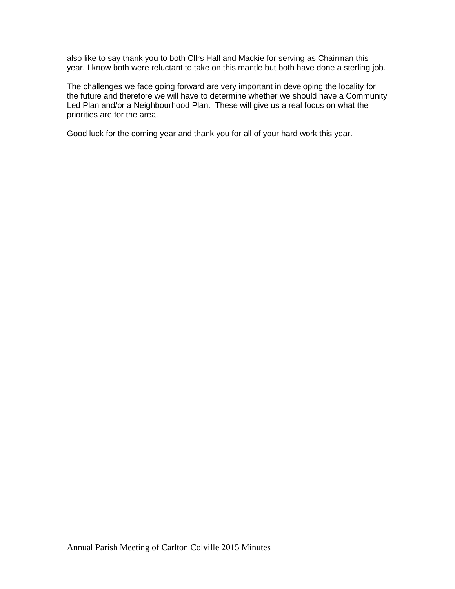also like to say thank you to both Cllrs Hall and Mackie for serving as Chairman this year, I know both were reluctant to take on this mantle but both have done a sterling job.

The challenges we face going forward are very important in developing the locality for the future and therefore we will have to determine whether we should have a Community Led Plan and/or a Neighbourhood Plan. These will give us a real focus on what the priorities are for the area.

Good luck for the coming year and thank you for all of your hard work this year.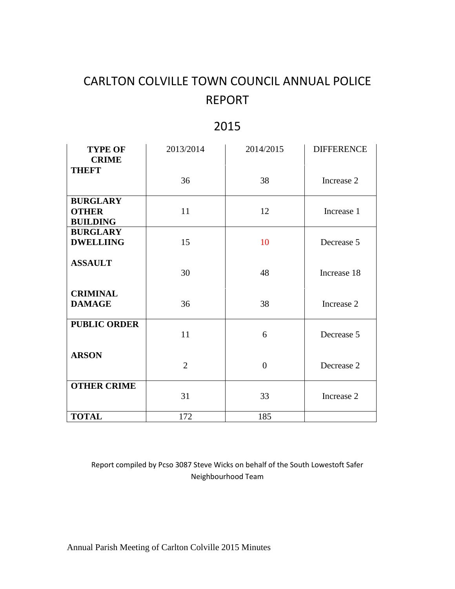# CARLTON COLVILLE TOWN COUNCIL ANNUAL POLICE REPORT

## 2015

| <b>TYPE OF</b>                  | 2013/2014      | 2014/2015      | <b>DIFFERENCE</b> |
|---------------------------------|----------------|----------------|-------------------|
| <b>CRIME</b><br><b>THEFT</b>    |                |                |                   |
|                                 | 36             | 38             | Increase 2        |
| <b>BURGLARY</b>                 |                |                |                   |
| <b>OTHER</b><br><b>BUILDING</b> | 11             | 12             | Increase 1        |
| <b>BURGLARY</b>                 |                |                |                   |
| <b>DWELLIING</b>                | 15             | 10             | Decrease 5        |
| <b>ASSAULT</b>                  | 30             | 48             | Increase 18       |
| <b>CRIMINAL</b>                 |                |                |                   |
| <b>DAMAGE</b>                   | 36             | 38             | Increase 2        |
| <b>PUBLIC ORDER</b>             | 11             | 6              | Decrease 5        |
| <b>ARSON</b>                    | $\overline{2}$ | $\overline{0}$ | Decrease 2        |
| <b>OTHER CRIME</b>              | 31             | 33             | Increase 2        |
| <b>TOTAL</b>                    | 172            | 185            |                   |

Report compiled by Pcso 3087 Steve Wicks on behalf of the South Lowestoft Safer Neighbourhood Team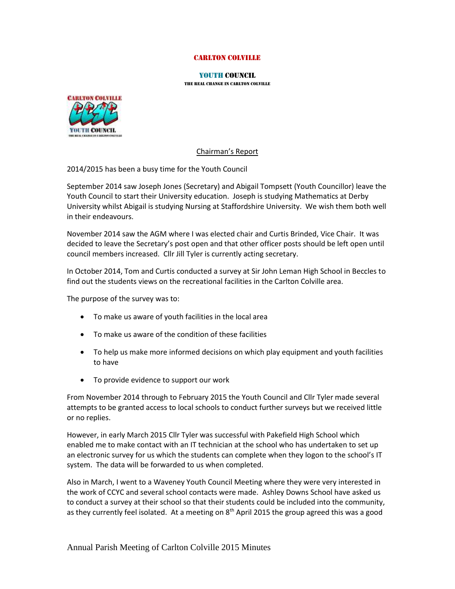#### Carlton Colville

#### YOUTH Council

the real change in carlton colville



#### Chairman's Report

2014/2015 has been a busy time for the Youth Council

September 2014 saw Joseph Jones (Secretary) and Abigail Tompsett (Youth Councillor) leave the Youth Council to start their University education. Joseph is studying Mathematics at Derby University whilst Abigail is studying Nursing at Staffordshire University. We wish them both well in their endeavours.

November 2014 saw the AGM where I was elected chair and Curtis Brinded, Vice Chair. It was decided to leave the Secretary's post open and that other officer posts should be left open until council members increased. Cllr Jill Tyler is currently acting secretary.

In October 2014, Tom and Curtis conducted a survey at Sir John Leman High School in Beccles to find out the students views on the recreational facilities in the Carlton Colville area.

The purpose of the survey was to:

- To make us aware of youth facilities in the local area
- To make us aware of the condition of these facilities
- To help us make more informed decisions on which play equipment and youth facilities to have
- To provide evidence to support our work

From November 2014 through to February 2015 the Youth Council and Cllr Tyler made several attempts to be granted access to local schools to conduct further surveys but we received little or no replies.

However, in early March 2015 Cllr Tyler was successful with Pakefield High School which enabled me to make contact with an IT technician at the school who has undertaken to set up an electronic survey for us which the students can complete when they logon to the school's IT system. The data will be forwarded to us when completed.

Also in March, I went to a Waveney Youth Council Meeting where they were very interested in the work of CCYC and several school contacts were made. Ashley Downs School have asked us to conduct a survey at their school so that their students could be included into the community, as they currently feel isolated. At a meeting on  $8<sup>th</sup>$  April 2015 the group agreed this was a good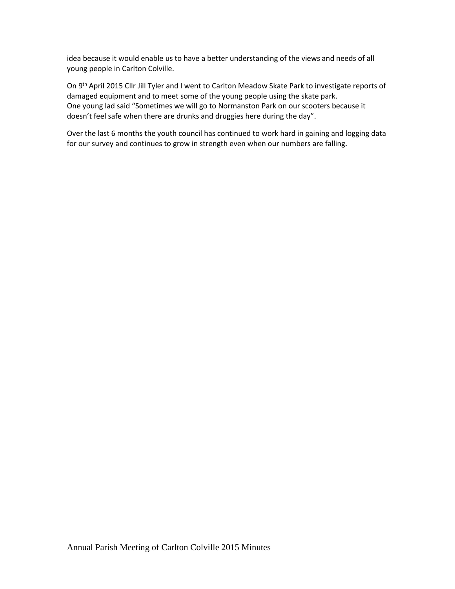idea because it would enable us to have a better understanding of the views and needs of all young people in Carlton Colville.

On 9<sup>th</sup> April 2015 Cllr Jill Tyler and I went to Carlton Meadow Skate Park to investigate reports of damaged equipment and to meet some of the young people using the skate park. One young lad said "Sometimes we will go to Normanston Park on our scooters because it doesn't feel safe when there are drunks and druggies here during the day".

Over the last 6 months the youth council has continued to work hard in gaining and logging data for our survey and continues to grow in strength even when our numbers are falling.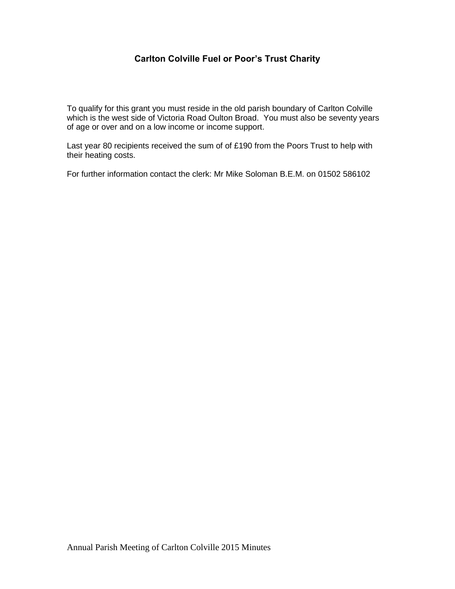## **Carlton Colville Fuel or Poor's Trust Charity**

To qualify for this grant you must reside in the old parish boundary of Carlton Colville which is the west side of Victoria Road Oulton Broad. You must also be seventy years of age or over and on a low income or income support.

Last year 80 recipients received the sum of of £190 from the Poors Trust to help with their heating costs.

For further information contact the clerk: Mr Mike Soloman B.E.M. on 01502 586102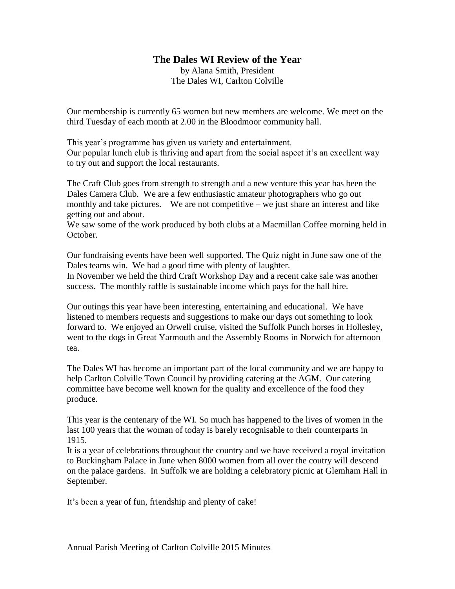## **The Dales WI Review of the Year**

by Alana Smith, President The Dales WI, Carlton Colville

Our membership is currently 65 women but new members are welcome. We meet on the third Tuesday of each month at 2.00 in the Bloodmoor community hall.

This year's programme has given us variety and entertainment. Our popular lunch club is thriving and apart from the social aspect it's an excellent way to try out and support the local restaurants.

The Craft Club goes from strength to strength and a new venture this year has been the Dales Camera Club. We are a few enthusiastic amateur photographers who go out monthly and take pictures. We are not competitive – we just share an interest and like getting out and about.

We saw some of the work produced by both clubs at a Macmillan Coffee morning held in October.

Our fundraising events have been well supported. The Quiz night in June saw one of the Dales teams win. We had a good time with plenty of laughter.

In November we held the third Craft Workshop Day and a recent cake sale was another success. The monthly raffle is sustainable income which pays for the hall hire.

Our outings this year have been interesting, entertaining and educational. We have listened to members requests and suggestions to make our days out something to look forward to. We enjoyed an Orwell cruise, visited the Suffolk Punch horses in Hollesley, went to the dogs in Great Yarmouth and the Assembly Rooms in Norwich for afternoon tea.

The Dales WI has become an important part of the local community and we are happy to help Carlton Colville Town Council by providing catering at the AGM. Our catering committee have become well known for the quality and excellence of the food they produce.

This year is the centenary of the WI. So much has happened to the lives of women in the last 100 years that the woman of today is barely recognisable to their counterparts in 1915.

It is a year of celebrations throughout the country and we have received a royal invitation to Buckingham Palace in June when 8000 women from all over the coutry will descend on the palace gardens. In Suffolk we are holding a celebratory picnic at Glemham Hall in September.

It's been a year of fun, friendship and plenty of cake!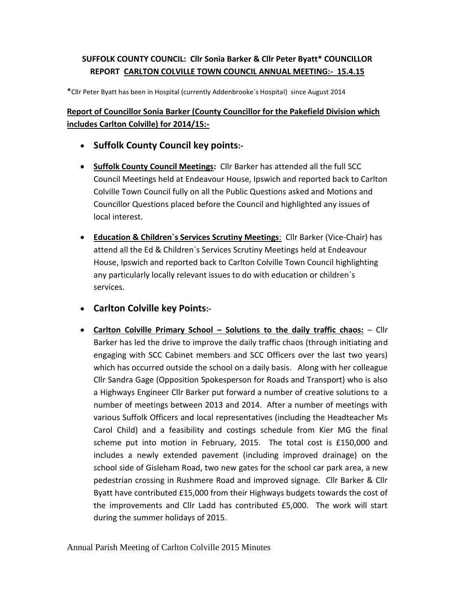## **SUFFOLK COUNTY COUNCIL: Cllr Sonia Barker & Cllr Peter Byatt\* COUNCILLOR REPORT CARLTON COLVILLE TOWN COUNCIL ANNUAL MEETING:- 15.4.15**

\*Cllr Peter Byatt has been in Hospital (currently Addenbrooke`s Hospital) since August 2014

## **Report of Councillor Sonia Barker (County Councillor for the Pakefield Division which includes Carlton Colville) for 2014/15:-**

- **Suffolk County Council key points:-**
- **Suffolk County Council Meetings:** Cllr Barker has attended all the full SCC Council Meetings held at Endeavour House, Ipswich and reported back to Carlton Colville Town Council fully on all the Public Questions asked and Motions and Councillor Questions placed before the Council and highlighted any issues of local interest.
- **Education & Children`s Services Scrutiny Meetings**: Cllr Barker (Vice-Chair) has attend all the Ed & Children`s Services Scrutiny Meetings held at Endeavour House, Ipswich and reported back to Carlton Colville Town Council highlighting any particularly locally relevant issues to do with education or children`s services.
- **Carlton Colville key Points:-**
- **•** Carlton Colville Primary School Solutions to the daily traffic chaos: Cllr Barker has led the drive to improve the daily traffic chaos (through initiating and engaging with SCC Cabinet members and SCC Officers over the last two years) which has occurred outside the school on a daily basis. Along with her colleague Cllr Sandra Gage (Opposition Spokesperson for Roads and Transport) who is also a Highways Engineer Cllr Barker put forward a number of creative solutions to a number of meetings between 2013 and 2014. After a number of meetings with various Suffolk Officers and local representatives (including the Headteacher Ms Carol Child) and a feasibility and costings schedule from Kier MG the final scheme put into motion in February, 2015. The total cost is £150,000 and includes a newly extended pavement (including improved drainage) on the school side of Gisleham Road, two new gates for the school car park area, a new pedestrian crossing in Rushmere Road and improved signage. Cllr Barker & Cllr Byatt have contributed £15,000 from their Highways budgets towards the cost of the improvements and Cllr Ladd has contributed £5,000. The work will start during the summer holidays of 2015.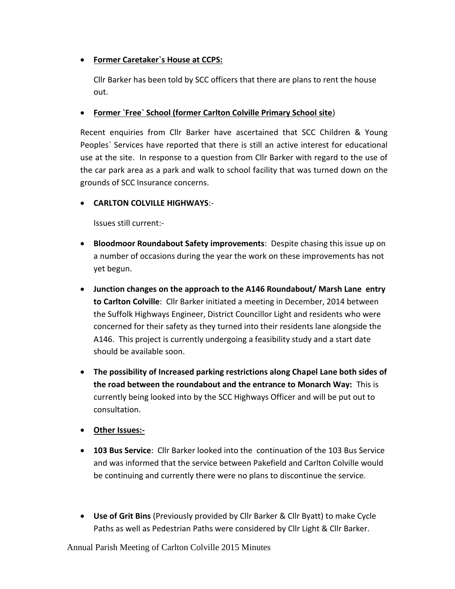## **Former Caretaker`s House at CCPS:**

Cllr Barker has been told by SCC officers that there are plans to rent the house out.

## **Former `Free` School (former Carlton Colville Primary School site**)

Recent enquiries from Cllr Barker have ascertained that SCC Children & Young Peoples` Services have reported that there is still an active interest for educational use at the site. In response to a question from Cllr Barker with regard to the use of the car park area as a park and walk to school facility that was turned down on the grounds of SCC Insurance concerns.

## **CARLTON COLVILLE HIGHWAYS**:-

Issues still current:-

- **Bloodmoor Roundabout Safety improvements**: Despite chasing this issue up on a number of occasions during the year the work on these improvements has not yet begun.
- **Junction changes on the approach to the A146 Roundabout/ Marsh Lane entry to Carlton Colville**: Cllr Barker initiated a meeting in December, 2014 between the Suffolk Highways Engineer, District Councillor Light and residents who were concerned for their safety as they turned into their residents lane alongside the A146. This project is currently undergoing a feasibility study and a start date should be available soon.
- **The possibility of Increased parking restrictions along Chapel Lane both sides of the road between the roundabout and the entrance to Monarch Way:** This is currently being looked into by the SCC Highways Officer and will be put out to consultation.
- **Other Issues:-**
- **103 Bus Service**: Cllr Barker looked into the continuation of the 103 Bus Service and was informed that the service between Pakefield and Carlton Colville would be continuing and currently there were no plans to discontinue the service.
- **Use of Grit Bins** (Previously provided by Cllr Barker & Cllr Byatt) to make Cycle Paths as well as Pedestrian Paths were considered by Cllr Light & Cllr Barker.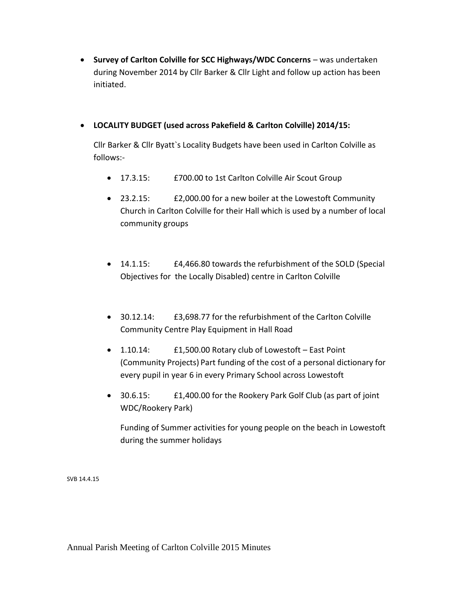**Survey of Carlton Colville for SCC Highways/WDC Concerns** – was undertaken during November 2014 by Cllr Barker & Cllr Light and follow up action has been initiated.

### **LOCALITY BUDGET (used across Pakefield & Carlton Colville) 2014/15:**

Cllr Barker & Cllr Byatt`s Locality Budgets have been used in Carlton Colville as follows:-

- 17.3.15: £700.00 to 1st Carlton Colville Air Scout Group
- 23.2.15: £2,000.00 for a new boiler at the Lowestoft Community Church in Carlton Colville for their Hall which is used by a number of local community groups
- 14.1.15: £4,466.80 towards the refurbishment of the SOLD (Special Objectives for the Locally Disabled) centre in Carlton Colville
- 30.12.14: £3,698.77 for the refurbishment of the Carlton Colville Community Centre Play Equipment in Hall Road
- 1.10.14: £1,500.00 Rotary club of Lowestoft East Point (Community Projects) Part funding of the cost of a personal dictionary for every pupil in year 6 in every Primary School across Lowestoft
- 30.6.15: £1,400.00 for the Rookery Park Golf Club (as part of joint WDC/Rookery Park)

Funding of Summer activities for young people on the beach in Lowestoft during the summer holidays

SVB 14.4.15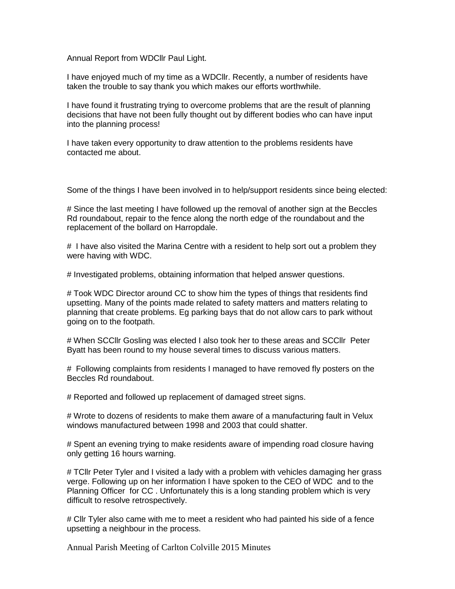Annual Report from WDCllr Paul Light.

I have enjoyed much of my time as a WDCllr. Recently, a number of residents have taken the trouble to say thank you which makes our efforts worthwhile.

I have found it frustrating trying to overcome problems that are the result of planning decisions that have not been fully thought out by different bodies who can have input into the planning process!

I have taken every opportunity to draw attention to the problems residents have contacted me about.

Some of the things I have been involved in to help/support residents since being elected:

# Since the last meeting I have followed up the removal of another sign at the Beccles Rd roundabout, repair to the fence along the north edge of the roundabout and the replacement of the bollard on Harropdale.

# I have also visited the Marina Centre with a resident to help sort out a problem they were having with WDC.

# Investigated problems, obtaining information that helped answer questions.

# Took WDC Director around CC to show him the types of things that residents find upsetting. Many of the points made related to safety matters and matters relating to planning that create problems. Eg parking bays that do not allow cars to park without going on to the footpath.

# When SCCllr Gosling was elected I also took her to these areas and SCCllr Peter Byatt has been round to my house several times to discuss various matters.

# Following complaints from residents I managed to have removed fly posters on the Beccles Rd roundabout.

# Reported and followed up replacement of damaged street signs.

# Wrote to dozens of residents to make them aware of a manufacturing fault in Velux windows manufactured between 1998 and 2003 that could shatter.

# Spent an evening trying to make residents aware of impending road closure having only getting 16 hours warning.

# TCllr Peter Tyler and I visited a lady with a problem with vehicles damaging her grass verge. Following up on her information I have spoken to the CEO of WDC and to the Planning Officer for CC . Unfortunately this is a long standing problem which is very difficult to resolve retrospectively.

# Cllr Tyler also came with me to meet a resident who had painted his side of a fence upsetting a neighbour in the process.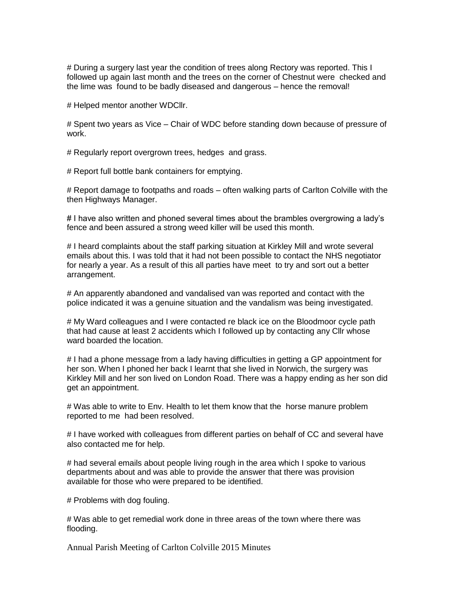# During a surgery last year the condition of trees along Rectory was reported. This I followed up again last month and the trees on the corner of Chestnut were checked and the lime was found to be badly diseased and dangerous – hence the removal!

# Helped mentor another WDCllr.

# Spent two years as Vice – Chair of WDC before standing down because of pressure of work.

# Regularly report overgrown trees, hedges and grass.

# Report full bottle bank containers for emptying.

# Report damage to footpaths and roads – often walking parts of Carlton Colville with the then Highways Manager.

# I have also written and phoned several times about the brambles overgrowing a lady's fence and been assured a strong weed killer will be used this month.

# I heard complaints about the staff parking situation at Kirkley Mill and wrote several emails about this. I was told that it had not been possible to contact the NHS negotiator for nearly a year. As a result of this all parties have meet to try and sort out a better arrangement.

# An apparently abandoned and vandalised van was reported and contact with the police indicated it was a genuine situation and the vandalism was being investigated.

# My Ward colleagues and I were contacted re black ice on the Bloodmoor cycle path that had cause at least 2 accidents which I followed up by contacting any Cllr whose ward boarded the location.

# I had a phone message from a lady having difficulties in getting a GP appointment for her son. When I phoned her back I learnt that she lived in Norwich, the surgery was Kirkley Mill and her son lived on London Road. There was a happy ending as her son did get an appointment.

# Was able to write to Env. Health to let them know that the horse manure problem reported to me had been resolved.

# I have worked with colleagues from different parties on behalf of CC and several have also contacted me for help.

# had several emails about people living rough in the area which I spoke to various departments about and was able to provide the answer that there was provision available for those who were prepared to be identified.

# Problems with dog fouling.

# Was able to get remedial work done in three areas of the town where there was flooding.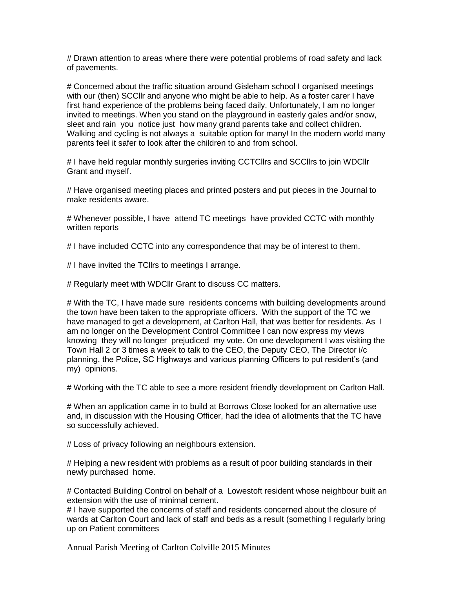# Drawn attention to areas where there were potential problems of road safety and lack of pavements.

# Concerned about the traffic situation around Gisleham school I organised meetings with our (then) SCCllr and anyone who might be able to help. As a foster carer I have first hand experience of the problems being faced daily. Unfortunately, I am no longer invited to meetings. When you stand on the playground in easterly gales and/or snow, sleet and rain you notice just how many grand parents take and collect children. Walking and cycling is not always a suitable option for many! In the modern world many parents feel it safer to look after the children to and from school.

# I have held regular monthly surgeries inviting CCTCllrs and SCCllrs to join WDCllr Grant and myself.

# Have organised meeting places and printed posters and put pieces in the Journal to make residents aware.

# Whenever possible, I have attend TC meetings have provided CCTC with monthly written reports

# I have included CCTC into any correspondence that may be of interest to them.

# I have invited the TCllrs to meetings I arrange.

# Regularly meet with WDCllr Grant to discuss CC matters.

# With the TC, I have made sure residents concerns with building developments around the town have been taken to the appropriate officers. With the support of the TC we have managed to get a development, at Carlton Hall, that was better for residents. As I am no longer on the Development Control Committee I can now express my views knowing they will no longer prejudiced my vote. On one development I was visiting the Town Hall 2 or 3 times a week to talk to the CEO, the Deputy CEO, The Director i/c planning, the Police, SC Highways and various planning Officers to put resident's (and my) opinions.

# Working with the TC able to see a more resident friendly development on Carlton Hall.

# When an application came in to build at Borrows Close looked for an alternative use and, in discussion with the Housing Officer, had the idea of allotments that the TC have so successfully achieved.

# Loss of privacy following an neighbours extension.

# Helping a new resident with problems as a result of poor building standards in their newly purchased home.

# Contacted Building Control on behalf of a Lowestoft resident whose neighbour built an extension with the use of minimal cement.

# I have supported the concerns of staff and residents concerned about the closure of wards at Carlton Court and lack of staff and beds as a result (something I regularly bring up on Patient committees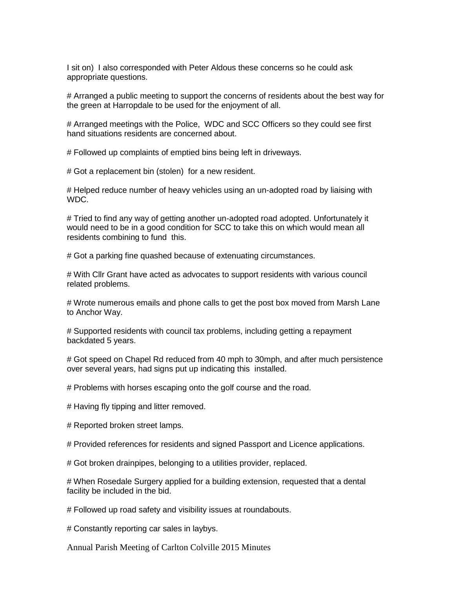I sit on) I also corresponded with Peter Aldous these concerns so he could ask appropriate questions.

# Arranged a public meeting to support the concerns of residents about the best way for the green at Harropdale to be used for the enjoyment of all.

# Arranged meetings with the Police, WDC and SCC Officers so they could see first hand situations residents are concerned about.

# Followed up complaints of emptied bins being left in driveways.

# Got a replacement bin (stolen) for a new resident.

# Helped reduce number of heavy vehicles using an un-adopted road by liaising with WDC.

# Tried to find any way of getting another un-adopted road adopted. Unfortunately it would need to be in a good condition for SCC to take this on which would mean all residents combining to fund this.

# Got a parking fine quashed because of extenuating circumstances.

# With Cllr Grant have acted as advocates to support residents with various council related problems.

# Wrote numerous emails and phone calls to get the post box moved from Marsh Lane to Anchor Way.

# Supported residents with council tax problems, including getting a repayment backdated 5 years.

# Got speed on Chapel Rd reduced from 40 mph to 30mph, and after much persistence over several years, had signs put up indicating this installed.

# Problems with horses escaping onto the golf course and the road.

# Having fly tipping and litter removed.

# Reported broken street lamps.

# Provided references for residents and signed Passport and Licence applications.

# Got broken drainpipes, belonging to a utilities provider, replaced.

# When Rosedale Surgery applied for a building extension, requested that a dental facility be included in the bid.

# Followed up road safety and visibility issues at roundabouts.

# Constantly reporting car sales in laybys.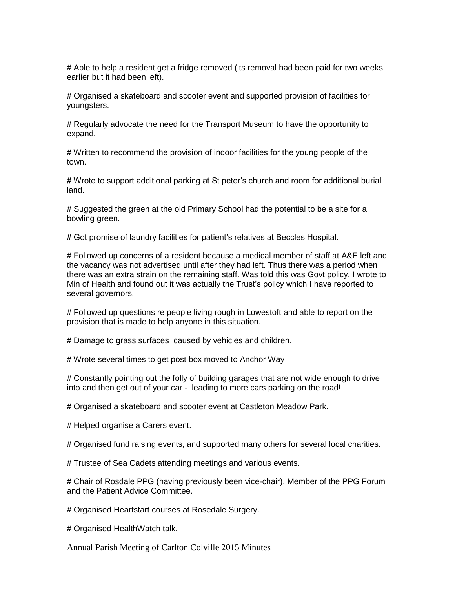# Able to help a resident get a fridge removed (its removal had been paid for two weeks earlier but it had been left).

# Organised a skateboard and scooter event and supported provision of facilities for youngsters.

# Regularly advocate the need for the Transport Museum to have the opportunity to expand.

# Written to recommend the provision of indoor facilities for the young people of the town.

# Wrote to support additional parking at St peter's church and room for additional burial land.

# Suggested the green at the old Primary School had the potential to be a site for a bowling green.

# Got promise of laundry facilities for patient's relatives at Beccles Hospital.

# Followed up concerns of a resident because a medical member of staff at A&E left and the vacancy was not advertised until after they had left. Thus there was a period when there was an extra strain on the remaining staff. Was told this was Govt policy. I wrote to Min of Health and found out it was actually the Trust's policy which I have reported to several governors.

# Followed up questions re people living rough in Lowestoft and able to report on the provision that is made to help anyone in this situation.

# Damage to grass surfaces caused by vehicles and children.

# Wrote several times to get post box moved to Anchor Way

# Constantly pointing out the folly of building garages that are not wide enough to drive into and then get out of your car - leading to more cars parking on the road!

# Organised a skateboard and scooter event at Castleton Meadow Park.

# Helped organise a Carers event.

# Organised fund raising events, and supported many others for several local charities.

# Trustee of Sea Cadets attending meetings and various events.

# Chair of Rosdale PPG (having previously been vice-chair), Member of the PPG Forum and the Patient Advice Committee.

# Organised Heartstart courses at Rosedale Surgery.

# Organised HealthWatch talk.